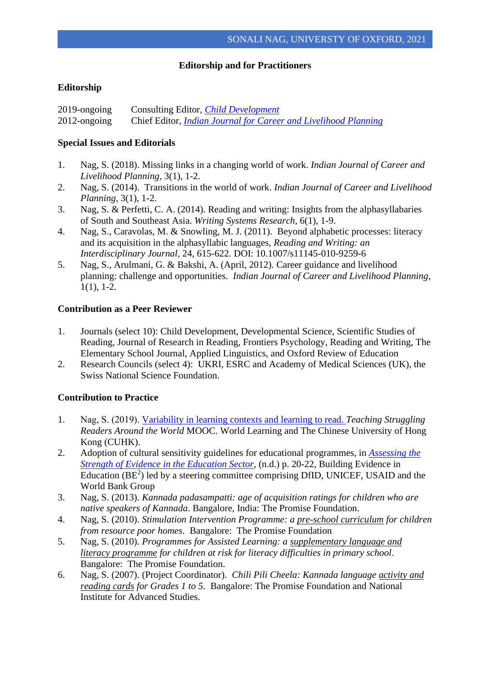# **Editorship and for Practitioners**

# **Editorship**

2019-ongoing Consulting Editor, *[Child Development](https://srcd.onlinelibrary.wiley.com/journal/14678624)* 2012-ongoing Chief Editor*, [Indian Journal for Career and Livelihood Planning](http://www.iaclp.org/indian_journal_of_career_and_livelihood_planning/about_the_journal)*

#### **Special Issues and Editorials**

- 1. Nag, S. (2018). Missing links in a changing world of work. *Indian Journal of Career and Livelihood Planning*, 3(1), 1-2.
- 2. Nag, S. (2014). Transitions in the world of work. *Indian Journal of Career and Livelihood Planning*, 3(1), 1-2.
- 3. Nag, S. & Perfetti, C. A. (2014). Reading and writing: Insights from the alphasyllabaries of South and Southeast Asia. *Writing Systems Research,* 6(1), 1-9.
- 4. Nag, S., Caravolas, M. & Snowling, M. J. (2011).Beyond alphabetic processes: literacy and its acquisition in the alphasyllabic languages, *Reading and Writing: an Interdisciplinary Journal,* 24, 615-622. DOI: 10.1007/s11145-010-9259-6
- 5. Nag, S., Arulmani, G. & Bakshi, A. (April, 2012). Career guidance and livelihood planning: challenge and opportunities. *Indian Journal of Career and Livelihood Planning*, 1(1), 1-2.

#### **Contribution as a Peer Reviewer**

- 1. Journals (select 10): Child Development, Developmental Science, Scientific Studies of Reading, Journal of Research in Reading, Frontiers Psychology, Reading and Writing, The Elementary School Journal, Applied Linguistics, and Oxford Review of Education
- 2. Research Councils (select 4): UKRI, ESRC and Academy of Medical Sciences (UK), the Swiss National Science Foundation.

# **Contribution to Practice**

- 1. Nag, S. (2019). [Variability in learning contexts and learning to read.](https://www.youtube.com/watch?v=TDHPAt-z-dE) *Teaching Struggling Readers Around the World* MOOC. World Learning and The Chinese University of Hong Kong (CUHK).
- 2. Adoption of cultural sensitivity guidelines for educational programmes, in *[Assessing the](https://www.usaid.gov/sites/default/files/documents/1865/BE2_Guidance_Note_ASE.pdf)  [Strength of Evidence in the Education Sector](https://www.usaid.gov/sites/default/files/documents/1865/BE2_Guidance_Note_ASE.pdf)*, (n.d.) p. 20-22, Building Evidence in Education  $(BE<sup>2</sup>)$  led by a steering committee comprising DfID, UNICEF, USAID and the World Bank Group
- 3. Nag, S. (2013). *Kannada padasampatti: age of acquisition ratings for children who are native speakers of Kannada*. Bangalore, India: The Promise Foundation.
- 4. Nag, S. (2010). *Stimulation Intervention Programme: a pre-school curriculum for children from resource poor homes*. Bangalore: The Promise Foundation
- 5. Nag, S. (2010). *Programmes for Assisted Learning: a supplementary language and literacy programme for children at risk for literacy difficulties in primary school*. Bangalore: The Promise Foundation.
- 6. Nag, S. (2007). (Project Coordinator). *Chili Pili Cheela: Kannada language activity and reading cards for Grades 1 to 5.* Bangalore: The Promise Foundation and National Institute for Advanced Studies.